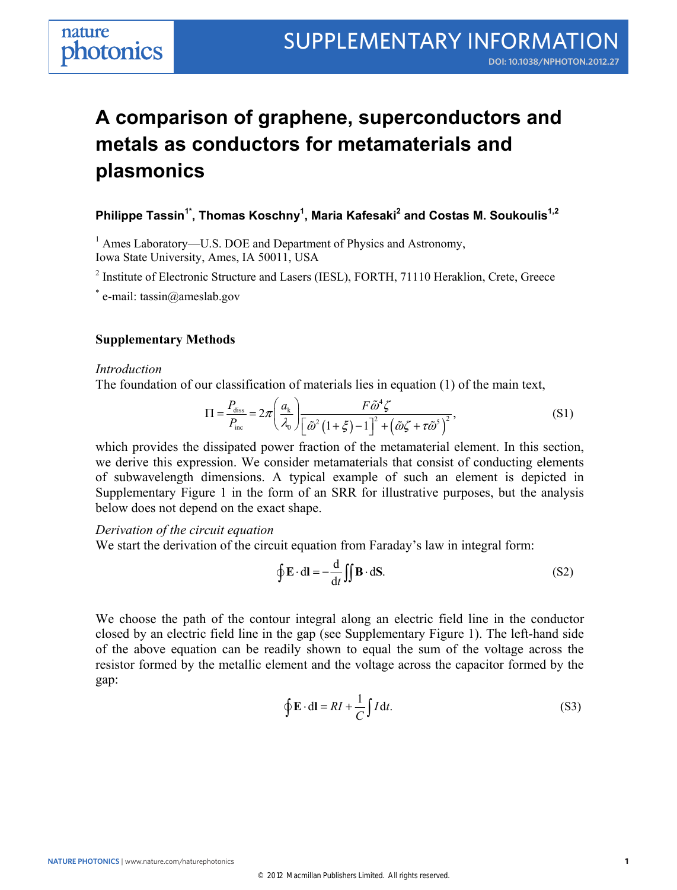# **A comparison of graphene, superconductors and metals as conductors for metamaterials and plasmonics**

**Philippe Tassin1\*, Thomas Koschny1 , Maria Kafesaki2 and Costas M. Soukoulis1,2** 

<sup>1</sup> Ames Laboratory—U.S. DOE and Department of Physics and Astronomy,

Iowa State University, Ames, IA 50011, USA

Supplementary Information to the contract of the contract of the contract of the contract of the contract of the contract of the contract of the contract of the contract of the contract of the contract of the contract of t

<sup>2</sup> Institute of Electronic Structure and Lasers (IESL), FORTH, 71110 Heraklion, Crete, Greece

\* e-mail: tassin@ameslab.gov

## **Supplementary Methods**

## *Introduction*

The foundation of our classification of materials lies in equation (1) of the main text,

$$
\Pi = \frac{P_{\text{diss}}}{P_{\text{inc}}} = 2\pi \left(\frac{a_{k}}{\lambda_{0}}\right) \frac{F\tilde{\omega}^{4}\zeta}{\left[\tilde{\omega}^{2}\left(1+\xi\right)-1\right]^{2}+\left(\tilde{\omega}\zeta+\tau\tilde{\omega}^{5}\right)^{2}},\tag{S1}
$$

which provides the dissipated power fraction of the metamaterial element. In this section, we derive this expression. We consider metamaterials that consist of conducting elements of subwavelength dimensions. A typical example of such an element is depicted in Supplementary Figure 1 in the form of an SRR for illustrative purposes, but the analysis below does not depend on the exact shape.

*Derivation of the circuit equation* 

We start the derivation of the circuit equation from Faraday's law in integral form:

$$
\oint \mathbf{E} \cdot d\mathbf{l} = -\frac{d}{dt} \iint \mathbf{B} \cdot d\mathbf{S}.
$$
 (S2)

We choose the path of the contour integral along an electric field line in the conductor closed by an electric field line in the gap (see Supplementary Figure 1). The left-hand side of the above equation can be readily shown to equal the sum of the voltage across the resistor formed by the metallic element and the voltage across the capacitor formed by the gap:

$$
\oint \mathbf{E} \cdot d\mathbf{l} = RI + \frac{1}{C} \int I dt.
$$
\n(S3)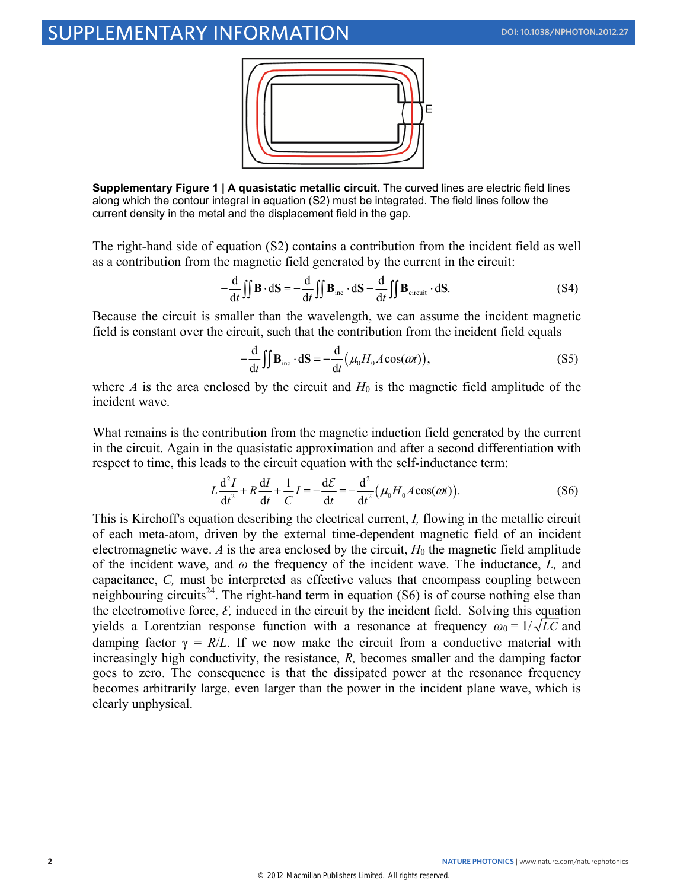# SUPPLEMENTARY INFORMATION **DOI: 10.1038/NPHOTON.2012.27**



**Supplementary Figure 1 | A quasistatic metallic circuit.** The curved lines are electric field lines along which the contour integral in equation (S2) must be integrated. The field lines follow the current density in the metal and the displacement field in the gap.

The right-hand side of equation (S2) contains a contribution from the incident field as well as a contribution from the magnetic field generated by the current in the circuit:

$$
-\frac{d}{dt}\iint \mathbf{B} \cdot d\mathbf{S} = -\frac{d}{dt}\iint \mathbf{B}_{inc} \cdot d\mathbf{S} - \frac{d}{dt}\iint \mathbf{B}_{circuit} \cdot d\mathbf{S}.
$$
 (S4)

Because the circuit is smaller than the wavelength, we can assume the incident magnetic field is constant over the circuit, such that the contribution from the incident field equals

$$
-\frac{d}{dt}\iint \mathbf{B}_{\text{inc}} \cdot d\mathbf{S} = -\frac{d}{dt} (\mu_0 H_0 A \cos(\omega t)),
$$
 (S5)

where *A* is the area enclosed by the circuit and  $H_0$  is the magnetic field amplitude of the incident wave.

What remains is the contribution from the magnetic induction field generated by the current in the circuit. Again in the quasistatic approximation and after a second differentiation with respect to time, this leads to the circuit equation with the self-inductance term:

$$
L\frac{d^2I}{dt^2} + R\frac{dI}{dt} + \frac{1}{C}I = -\frac{d\mathcal{E}}{dt} = -\frac{d^2}{dt^2}(\mu_0 H_0 A \cos(\omega t)).
$$
 (S6)

This is Kirchoff's equation describing the electrical current, *I,* flowing in the metallic circuit of each meta-atom, driven by the external time-dependent magnetic field of an incident electromagnetic wave. *A* is the area enclosed by the circuit,  $H_0$  the magnetic field amplitude of the incident wave, and *ω* the frequency of the incident wave. The inductance, *L,* and capacitance, *C,* must be interpreted as effective values that encompass coupling between neighbouring circuits<sup>24</sup>. The right-hand term in equation  $(S6)$  is of course nothing else than the electromotive force,  $\mathcal{E}$ , induced in the circuit by the incident field. Solving this equation yields a Lorentzian response function with a resonance at frequency  $\omega_0 = 1/\sqrt{LC}$  and damping factor  $\gamma = R/L$ . If we now make the circuit from a conductive material with increasingly high conductivity, the resistance, *R,* becomes smaller and the damping factor goes to zero. The consequence is that the dissipated power at the resonance frequency becomes arbitrarily large, even larger than the power in the incident plane wave, which is clearly unphysical.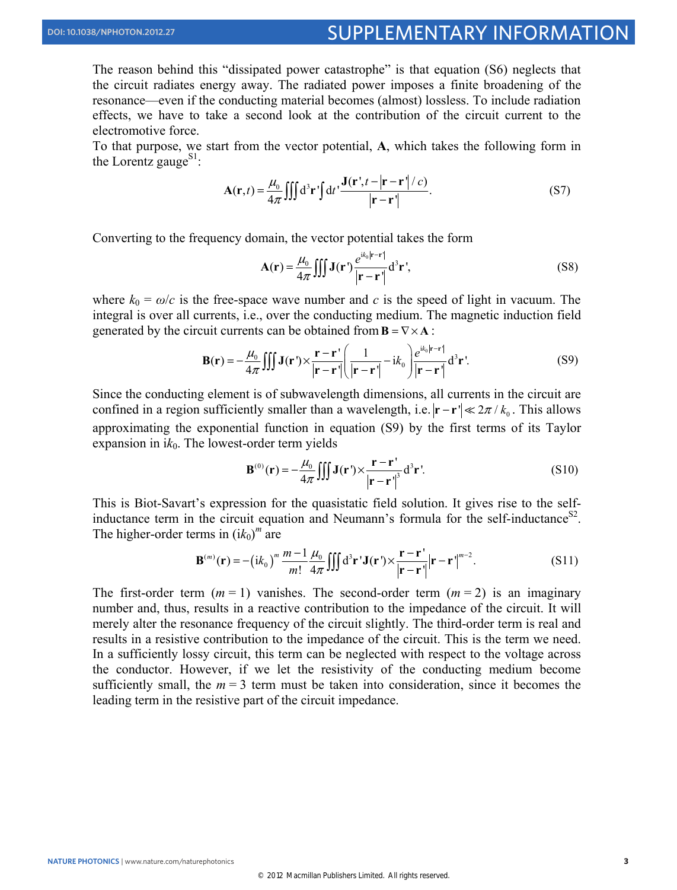The reason behind this "dissipated power catastrophe" is that equation (S6) neglects that the circuit radiates energy away. The radiated power imposes a finite broadening of the resonance—even if the conducting material becomes (almost) lossless. To include radiation effects, we have to take a second look at the contribution of the circuit current to the electromotive force.

To that purpose, we start from the vector potential, **A**, which takes the following form in the Lorentz gauge<sup>S1</sup>:

$$
\mathbf{A}(\mathbf{r},t) = \frac{\mu_0}{4\pi} \iiint d^3 \mathbf{r}' \mathbf{r}' d t' \frac{\mathbf{J}(\mathbf{r}',t-|\mathbf{r}-\mathbf{r}'|/c)}{|\mathbf{r}-\mathbf{r}'|}.
$$
 (S7)

Converting to the frequency domain, the vector potential takes the form

$$
\mathbf{A}(\mathbf{r}) = \frac{\mu_0}{4\pi} \iiint \mathbf{J}(\mathbf{r}') \frac{e^{ik_0|\mathbf{r} - \mathbf{r}'|}}{|\mathbf{r} - \mathbf{r}'|} d^3 \mathbf{r}',\tag{S8}
$$

where  $k_0 = \omega/c$  is the free-space wave number and *c* is the speed of light in vacuum. The integral is over all currents, i.e., over the conducting medium. The magnetic induction field generated by the circuit currents can be obtained from  $\mathbf{B} = \nabla \times \mathbf{A}$ :

$$
\mathbf{B}(\mathbf{r}) = -\frac{\mu_0}{4\pi} \iiint \mathbf{J}(\mathbf{r}') \times \frac{\mathbf{r} - \mathbf{r}'}{|\mathbf{r} - \mathbf{r}'|} \left( \frac{1}{|\mathbf{r} - \mathbf{r}'|} - ik_0 \right) \frac{e^{ik_0|\mathbf{r} - \mathbf{r}'|}}{|\mathbf{r} - \mathbf{r}'|} d^3 \mathbf{r}'.
$$
 (S9)

Since the conducting element is of subwavelength dimensions, all currents in the circuit are confined in a region sufficiently smaller than a wavelength, i.e.  $|\mathbf{r} - \mathbf{r}| \ll 2\pi / k_0$ . This allows approximating the exponential function in equation (S9) by the first terms of its Taylor expansion in  $ik<sub>0</sub>$ . The lowest-order term yields

$$
\mathbf{B}^{(0)}(\mathbf{r}) = -\frac{\mu_0}{4\pi} \iiint \mathbf{J}(\mathbf{r}') \times \frac{\mathbf{r} - \mathbf{r}'}{|\mathbf{r} - \mathbf{r}'|^3} d^3 \mathbf{r}'. \tag{S10}
$$

This is Biot-Savart's expression for the quasistatic field solution. It gives rise to the selfinductance term in the circuit equation and Neumann's formula for the self-inductance<sup>S2</sup>. The higher-order terms in  $(ik_0)^m$  are

$$
\mathbf{B}^{(m)}(\mathbf{r}) = -\left(i k_0\right)^m \frac{m-1}{m!} \frac{\mu_0}{4\pi} \iiint d^3 \mathbf{r} \, \mathbf{J}(\mathbf{r}') \times \frac{\mathbf{r} - \mathbf{r}'}{|\mathbf{r} - \mathbf{r}'|} |\mathbf{r} - \mathbf{r}'|^{m-2}.
$$
 (S11)

The first-order term  $(m = 1)$  vanishes. The second-order term  $(m = 2)$  is an imaginary number and, thus, results in a reactive contribution to the impedance of the circuit. It will merely alter the resonance frequency of the circuit slightly. The third-order term is real and results in a resistive contribution to the impedance of the circuit. This is the term we need. In a sufficiently lossy circuit, this term can be neglected with respect to the voltage across the conductor. However, if we let the resistivity of the conducting medium become sufficiently small, the  $m = 3$  term must be taken into consideration, since it becomes the leading term in the resistive part of the circuit impedance.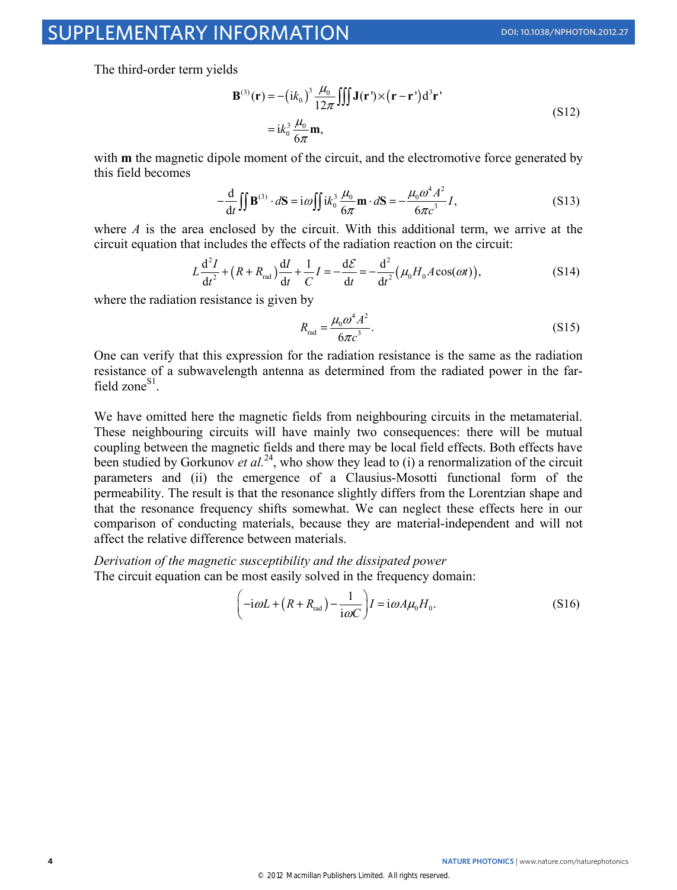The third-order term yields

$$
\mathbf{B}^{(3)}(\mathbf{r}) = -\left(i k_0\right)^3 \frac{\mu_0}{12\pi} \iiint \mathbf{J}(\mathbf{r}') \times (\mathbf{r} - \mathbf{r}') d^3 \mathbf{r}'
$$
  
=  $i k_0^3 \frac{\mu_0}{6\pi} \mathbf{m}$ , (S12)

with **m** the magnetic dipole moment of the circuit, and the electromotive force generated by this field becomes

$$
-\frac{d}{dt}\iint \mathbf{B}^{(3)} \cdot d\mathbf{S} = i\omega \iint i k_0^3 \frac{\mu_0}{6\pi} \mathbf{m} \cdot d\mathbf{S} = -\frac{\mu_0 \omega^4 A^2}{6\pi c^3} I,
$$
 (S13)

where *A* is the area enclosed by the circuit. With this additional term, we arrive at the circuit equation that includes the effects of the radiation reaction on the circuit:

$$
L\frac{d^{2}I}{dt^{2}} + (R + R_{\text{rad}})\frac{dI}{dt} + \frac{1}{C}I = -\frac{d\mathcal{E}}{dt} = -\frac{d^{2}}{dt^{2}}(\mu_{0}H_{0}A\cos(\omega t)),
$$
 (S14)

where the radiation resistance is given by

$$
R_{\rm rad} = \frac{\mu_0 \omega^4 A^2}{6\pi c^3}.
$$
 (S15)

One can verify that this expression for the radiation resistance is the same as the radiation resistance of a subwavelength antenna as determined from the radiated power in the farfield zone $^{S1}$ .

We have omitted here the magnetic fields from neighbouring circuits in the metamaterial. These neighbouring circuits will have mainly two consequences: there will be mutual coupling between the magnetic fields and there may be local field effects. Both effects have been studied by Gorkunov *et al.*<sup>24</sup>, who show they lead to (i) a renormalization of the circuit parameters and (ii) the emergence of a Clausius-Mosotti functional form of the permeability. The result is that the resonance slightly differs from the Lorentzian shape and that the resonance frequency shifts somewhat. We can neglect these effects here in our comparison of conducting materials, because they are material-independent and will not affect the relative difference between materials.

*Derivation of the magnetic susceptibility and the dissipated power*  The circuit equation can be most easily solved in the frequency domain:

$$
\left(-i\omega L + (R + R_{\text{rad}}) - \frac{1}{i\omega C}\right)I = i\omega A\mu_0 H_0.
$$
\n<sup>(S16)</sup>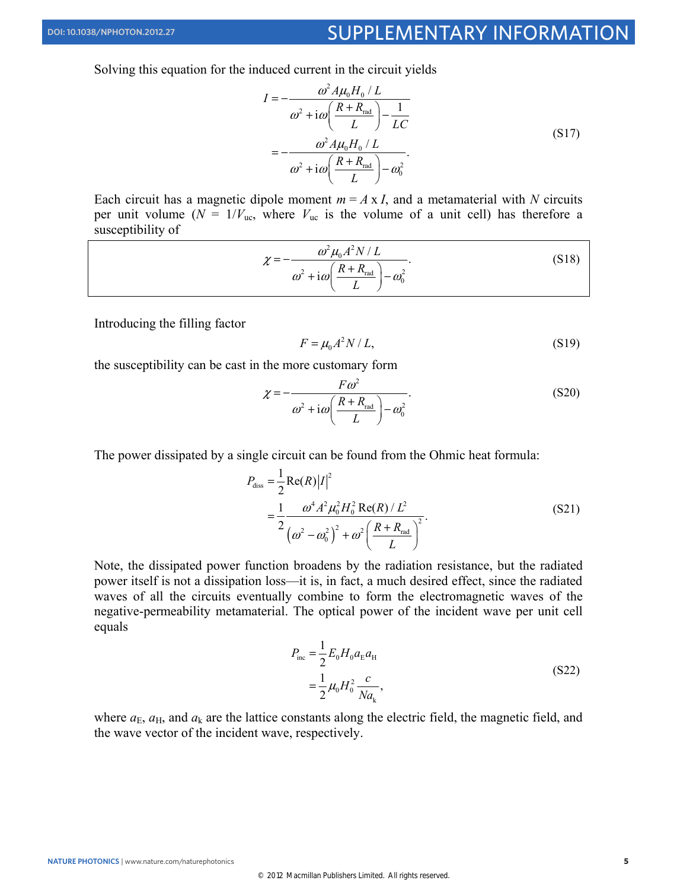Solving this equation for the induced current in the circuit yields

$$
I = -\frac{\omega^2 A \mu_0 H_0 / L}{\omega^2 + i\omega \left(\frac{R + R_{\text{rad}}}{L}\right) - \frac{1}{LC}}
$$
  
= 
$$
-\frac{\omega^2 A \mu_0 H_0 / L}{\omega^2 + i\omega \left(\frac{R + R_{\text{rad}}}{L}\right) - \omega_0^2}.
$$
(S17)

Each circuit has a magnetic dipole moment  $m = A \times I$ , and a metamaterial with *N* circuits per unit volume  $(N = 1/V_{\text{uc}})$ , where  $V_{\text{uc}}$  is the volume of a unit cell) has therefore a susceptibility of

$$
\chi = -\frac{\omega^2 \mu_0 A^2 N / L}{\omega^2 + i\omega \left(\frac{R + R_{\text{rad}}}{L}\right) - \omega_0^2}.
$$
\n
$$
(S18)
$$

Introducing the filling factor

$$
F = \mu_0 A^2 N / L,\tag{S19}
$$

the susceptibility can be cast in the more customary form

$$
\chi = -\frac{F\omega^2}{\omega^2 + i\omega \left(\frac{R + R_{\text{rad}}}{L}\right) - \omega_0^2}.
$$
\n(S20)

The power dissipated by a single circuit can be found from the Ohmic heat formula:

$$
P_{\text{diss}} = \frac{1}{2} \text{Re}(R) |I|^2
$$
  
= 
$$
\frac{1}{2} \frac{\omega^4 A^2 \mu_0^2 H_0^2 \text{Re}(R) / L^2}{(\omega^2 - \omega_0^2)^2 + \omega^2 \left(\frac{R + R_{\text{rad}}}{L}\right)^2}.
$$
 (S21)

Note, the dissipated power function broadens by the radiation resistance, but the radiated power itself is not a dissipation loss—it is, in fact, a much desired effect, since the radiated waves of all the circuits eventually combine to form the electromagnetic waves of the negative-permeability metamaterial. The optical power of the incident wave per unit cell equals

$$
P_{\text{inc}} = \frac{1}{2} E_0 H_0 a_{\text{E}} a_{\text{H}}
$$
  
=  $\frac{1}{2} \mu_0 H_0^2 \frac{c}{Na_{\text{k}}},$  (S22)

where  $a_{\rm E}$ ,  $a_{\rm H}$ , and  $a_{\rm k}$  are the lattice constants along the electric field, the magnetic field, and the wave vector of the incident wave, respectively.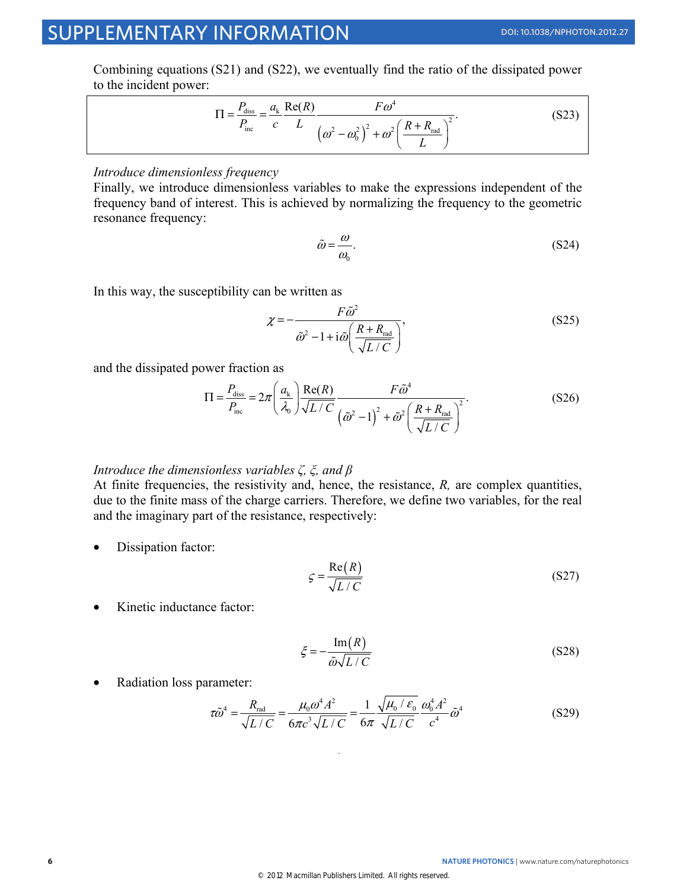## SUPPLEMENTARY INFORMATION **DOI: 10.1038/NPHOTON.2012.27**

Combining equations (S21) and (S22), we eventually find the ratio of the dissipated power to the incident power:

$$
\Pi = \frac{P_{\text{diss}}}{P_{\text{inc}}} = \frac{a_{k}}{c} \frac{\text{Re}(R)}{L} \frac{F\omega^{4}}{\left(\omega^{2} - \omega_{0}^{2}\right)^{2} + \omega^{2} \left(\frac{R + R_{\text{rad}}}{L}\right)^{2}}.
$$
\n(S23)

#### *Introduce dimensionless frequency*

Finally, we introduce dimensionless variables to make the expressions independent of the frequency band of interest. This is achieved by normalizing the frequency to the geometric resonance frequency:

$$
\tilde{\omega} = \frac{\omega}{\omega_0}.\tag{S24}
$$

In this way, the susceptibility can be written as

$$
\chi = -\frac{F\tilde{\omega}^2}{\tilde{\omega}^2 - 1 + i\tilde{\omega} \left(\frac{R + R_{\text{rad}}}{\sqrt{L/C}}\right)},
$$
\n(S25)

and the dissipated power fraction as

$$
\Pi = \frac{P_{\text{diss}}}{P_{\text{inc}}} = 2\pi \left(\frac{a_k}{\lambda_0}\right) \frac{\text{Re}(R)}{\sqrt{L/C}} \frac{F\tilde{\omega}^4}{\left(\tilde{\omega}^2 - 1\right)^2 + \tilde{\omega}^2 \left(\frac{R + R_{\text{rad}}}{\sqrt{L/C}}\right)^2}.
$$
\n(S26)

#### *Introduce the dimensionless variables ζ, ξ, and β*

At finite frequencies, the resistivity and, hence, the resistance, *R,* are complex quantities, due to the finite mass of the charge carriers. Therefore, we define two variables, for the real and the imaginary part of the resistance, respectively:

• Dissipation factor:

$$
\varsigma = \frac{\text{Re}(R)}{\sqrt{L/C}}\tag{S27}
$$

• Kinetic inductance factor:

$$
\xi = -\frac{\operatorname{Im}(R)}{\tilde{\omega}\sqrt{L/C}}\tag{S28}
$$

• Radiation loss parameter:

$$
\tau \tilde{\omega}^4 = \frac{R_{\text{rad}}}{\sqrt{L/C}} = \frac{\mu_0 \omega^4 A^2}{6\pi c^3 \sqrt{L/C}} = \frac{1}{6\pi} \frac{\sqrt{\mu_0 / \varepsilon_0}}{\sqrt{L/C}} \frac{\omega_0^4 A^2}{c^4} \tilde{\omega}^4 \tag{S29}
$$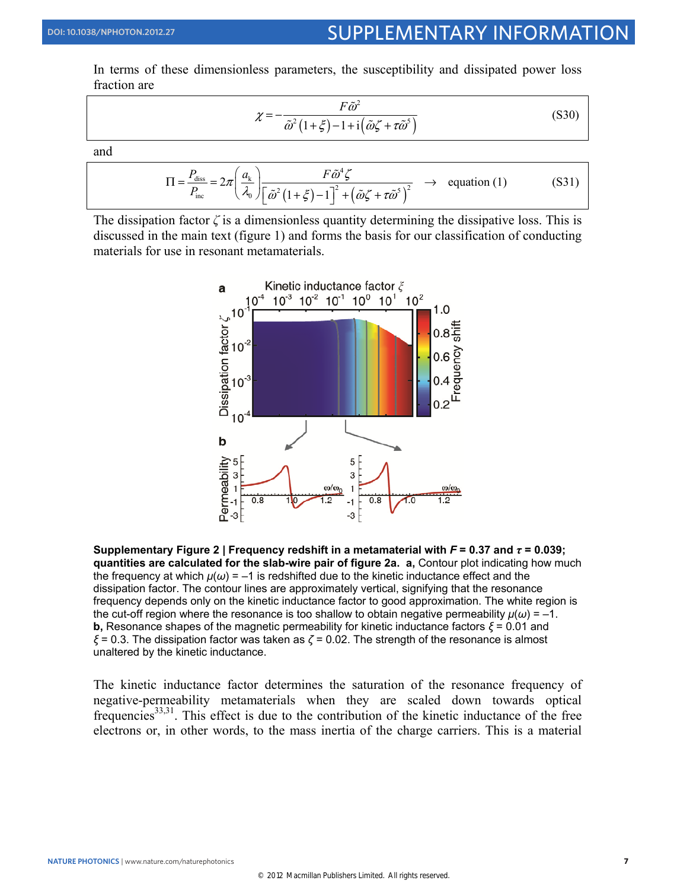In terms of these dimensionless parameters, the susceptibility and dissipated power loss fraction are

$$
\chi = -\frac{F\tilde{\omega}^2}{\tilde{\omega}^2 \left(1 + \xi\right) - 1 + i\left(\tilde{\omega}\zeta + \tau\tilde{\omega}^5\right)}
$$
(S30)

and

$$
\Pi = \frac{P_{\text{diss}}}{P_{\text{inc}}} = 2\pi \left(\frac{a_k}{\lambda_0}\right) \frac{F\tilde{\omega}^4 \zeta}{\left[\tilde{\omega}^2 \left(1 + \xi\right) - 1\right]^2 + \left(\tilde{\omega}\zeta + \tau\tilde{\omega}^5\right)^2} \rightarrow \text{equation (1)}
$$
(S31)

The dissipation factor  $\zeta$  is a dimensionless quantity determining the dissipative loss. This is discussed in the main text (figure 1) and forms the basis for our classification of conducting materials for use in resonant metamaterials.



**Supplementary Figure 2 | Frequency redshift in a metamaterial with** *F* **= 0.37 and** *τ* **= 0.039; quantities are calculated for the slab-wire pair of figure 2a. a,** Contour plot indicating how much the frequency at which  $\mu(\omega) = -1$  is redshifted due to the kinetic inductance effect and the dissipation factor. The contour lines are approximately vertical, signifying that the resonance frequency depends only on the kinetic inductance factor to good approximation. The white region is the cut-off region where the resonance is too shallow to obtain negative permeability  $\mu(\omega) = -1$ . **b,** Resonance shapes of the magnetic permeability for kinetic inductance factors  $\xi$  = 0.01 and *ξ* = 0.3. The dissipation factor was taken as *ζ* = 0.02. The strength of the resonance is almost unaltered by the kinetic inductance.

The kinetic inductance factor determines the saturation of the resonance frequency of negative-permeability metamaterials when they are scaled down towards optical frequencies<sup>33,31</sup>. This effect is due to the contribution of the kinetic inductance of the free electrons or, in other words, to the mass inertia of the charge carriers. This is a material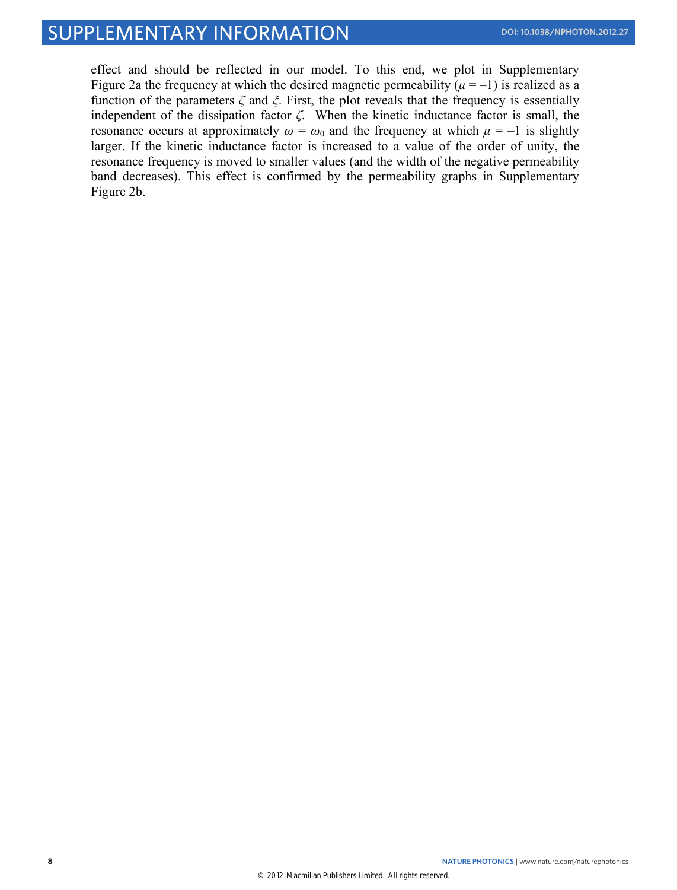effect and should be reflected in our model. To this end, we plot in Supplementary Figure 2a the frequency at which the desired magnetic permeability  $(\mu = -1)$  is realized as a function of the parameters *ζ* and *ξ*. First, the plot reveals that the frequency is essentially independent of the dissipation factor *ζ*. When the kinetic inductance factor is small, the resonance occurs at approximately  $\omega = \omega_0$  and the frequency at which  $\mu = -1$  is slightly larger. If the kinetic inductance factor is increased to a value of the order of unity, the resonance frequency is moved to smaller values (and the width of the negative permeability band decreases). This effect is confirmed by the permeability graphs in Supplementary Figure 2b.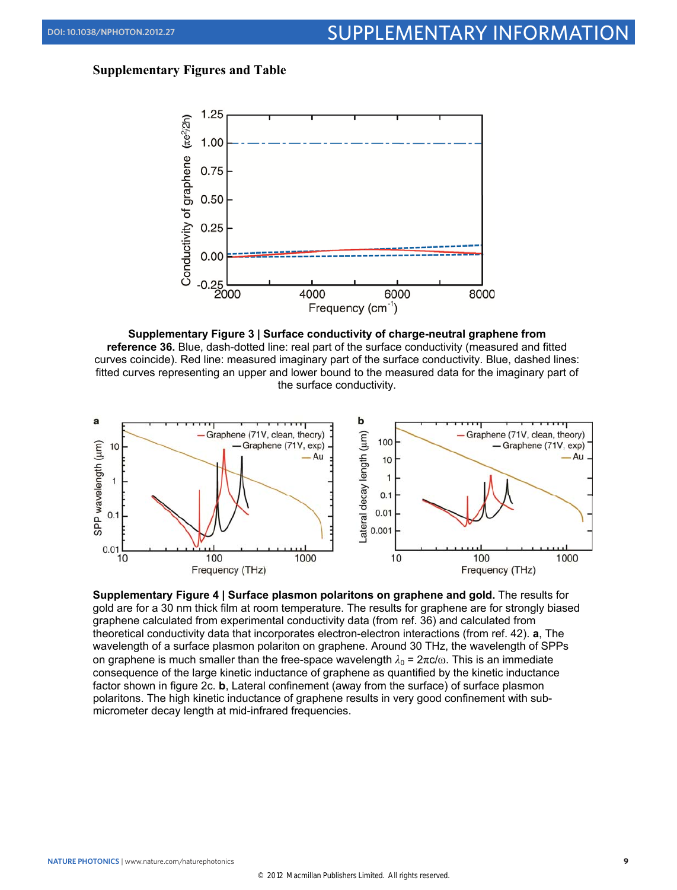## **Supplementary Figures and Table**



**Supplementary Figure 3 | Surface conductivity of charge-neutral graphene from reference 36.** Blue, dash-dotted line: real part of the surface conductivity (measured and fitted curves coincide). Red line: measured imaginary part of the surface conductivity. Blue, dashed lines: fitted curves representing an upper and lower bound to the measured data for the imaginary part of the surface conductivity.



**Supplementary Figure 4 | Surface plasmon polaritons on graphene and gold.** The results for gold are for a 30 nm thick film at room temperature. The results for graphene are for strongly biased graphene calculated from experimental conductivity data (from ref. 36) and calculated from theoretical conductivity data that incorporates electron-electron interactions (from ref. 42). **a**, The wavelength of a surface plasmon polariton on graphene. Around 30 THz, the wavelength of SPPs on graphene is much smaller than the free-space wavelength  $\lambda_0 = 2\pi c/\omega$ . This is an immediate consequence of the large kinetic inductance of graphene as quantified by the kinetic inductance factor shown in figure 2c. **b**, Lateral confinement (away from the surface) of surface plasmon polaritons. The high kinetic inductance of graphene results in very good confinement with submicrometer decay length at mid-infrared frequencies.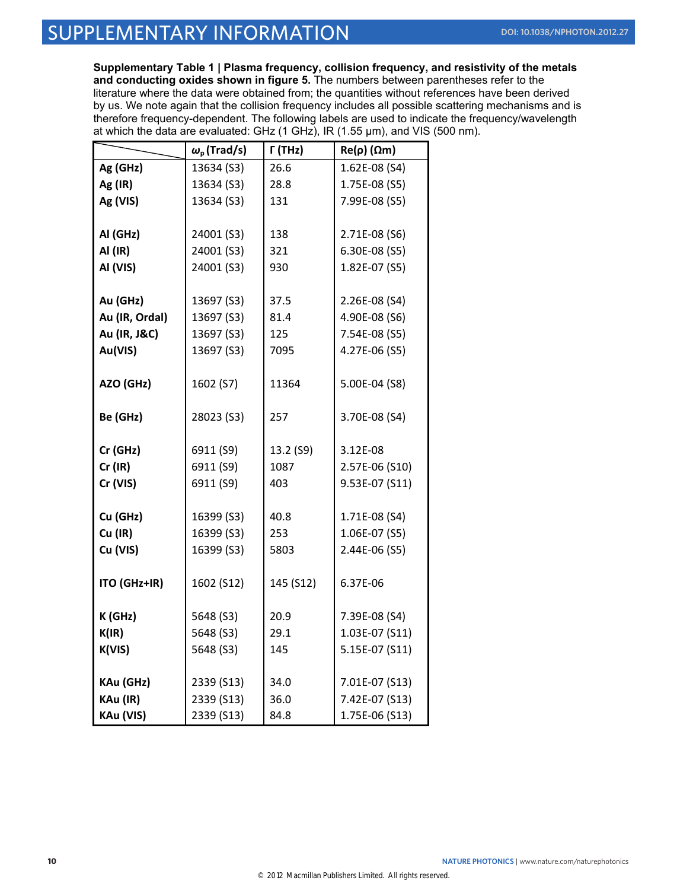**Supplementary Table 1 | Plasma frequency, collision frequency, and resistivity of the metals and conducting oxides shown in figure 5.** The numbers between parentheses refer to the literature where the data were obtained from; the quantities without references have been derived by us. We note again that the collision frequency includes all possible scattering mechanisms and is therefore frequency-dependent. The following labels are used to indicate the frequency/wavelength at which the data are evaluated: GHz (1 GHz), IR (1.55 μm), and VIS (500 nm).

|                     | $\omega_{\rm p}$ (Trad/s) | $\Gamma$ (THz) | $Re(\rho)$ ( $\Omega$ m)       |
|---------------------|---------------------------|----------------|--------------------------------|
| Ag (GHz)            | 13634 (S3)                | 26.6           | 1.62E-08 (S4)                  |
| Ag (IR)             | 13634 (S3)                | 28.8           | 1.75E-08 (S5)                  |
| Ag (VIS)            | 13634 (S3)                | 131            | 7.99E-08 (S5)                  |
|                     |                           |                |                                |
| Al (GHz)            | 24001 (S3)                | 138            | 2.71E-08 (S6)                  |
| AI (IR)             | 24001 (S3)                | 321            | 6.30E-08 (S5)                  |
| Al (VIS)            | 24001 (S3)                | 930            | 1.82E-07 (S5)                  |
|                     |                           |                |                                |
| Au (GHz)            | 13697 (S3)                | 37.5           | 2.26E-08 (S4)                  |
| Au (IR, Ordal)      | 13697 (S3)                | 81.4           | 4.90E-08 (S6)                  |
| Au (IR, J&C)        | 13697 (S3)                | 125            | 7.54E-08 (S5)                  |
| Au(VIS)             | 13697 (S3)                | 7095           | 4.27E-06 (S5)                  |
|                     |                           |                |                                |
| AZO (GHz)           | 1602 (S7)                 | 11364          | 5.00E-04 (S8)                  |
|                     |                           |                |                                |
| Be (GHz)            | 28023 (S3)                | 257            | 3.70E-08 (S4)                  |
|                     |                           |                |                                |
| Cr (GHz)            | 6911 (S9)                 | 13.2 (S9)      | 3.12E-08                       |
| $Cr$ (IR)           | 6911 (S9)                 | 1087           | 2.57E-06 (S10)                 |
| Cr (VIS)            | 6911 (S9)                 | 403            | 9.53E-07 (S11)                 |
|                     |                           |                |                                |
| Cu (GHz)<br>Cu (IR) | 16399 (S3)<br>16399 (S3)  | 40.8<br>253    | 1.71E-08 (S4)<br>1.06E-07 (S5) |
| Cu (VIS)            | 16399 (S3)                | 5803           | 2.44E-06 (S5)                  |
|                     |                           |                |                                |
| ITO (GHz+IR)        | 1602 (S12)                | 145 (S12)      | 6.37E-06                       |
|                     |                           |                |                                |
| K (GHz)             | 5648 (S3)                 | 20.9           | 7.39E-08 (S4)                  |
| K(IR)               | 5648 (S3)                 | 29.1           | 1.03E-07 (S11)                 |
| K(VIS)              | 5648 (S3)                 | 145            | 5.15E-07 (S11)                 |
|                     |                           |                |                                |
| KAu (GHz)           | 2339 (S13)                | 34.0           | 7.01E-07 (S13)                 |
| KAu (IR)            | 2339 (S13)                | 36.0           | 7.42E-07 (S13)                 |
| KAu (VIS)           | 2339 (S13)                | 84.8           | 1.75E-06 (S13)                 |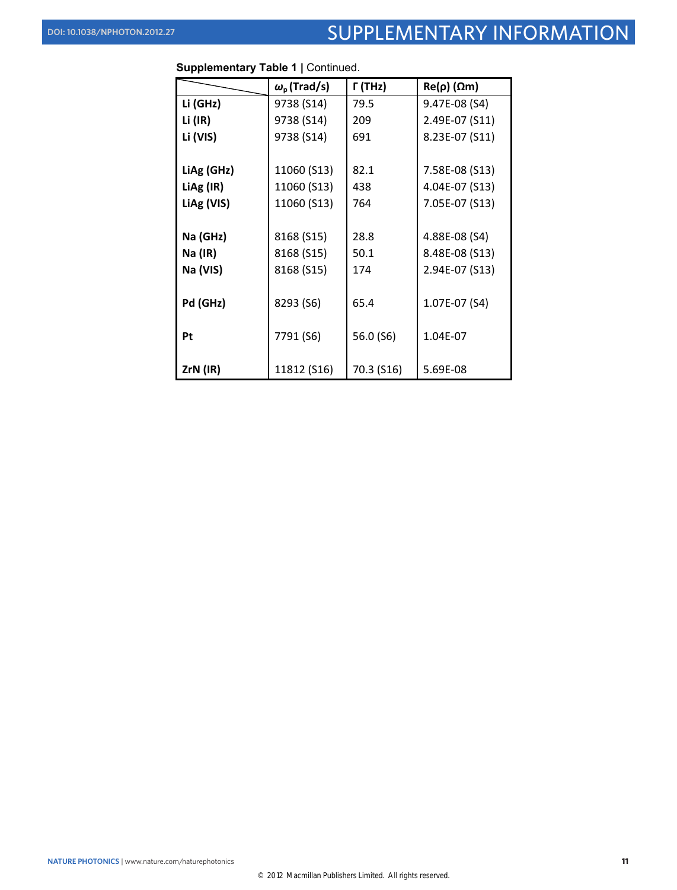# DOI: 10.1038/NPHOTON.2012.27 SUPPLEMENTARY INFORMATION

|            | $\omega_{\rm p}$ (Trad/s) | Г (THz)    | $Re(\rho)$ ( $\Omega$ m) |
|------------|---------------------------|------------|--------------------------|
| Li (GHz)   | 9738 (S14)                | 79.5       | 9.47E-08 (S4)            |
| Li (IR)    | 9738 (S14)                | 209        | 2.49E-07 (S11)           |
| Li (VIS)   | 9738 (S14)                | 691        | 8.23E-07 (S11)           |
|            |                           |            |                          |
| LiAg (GHz) | 11060 (S13)               | 82.1       | 7.58E-08 (S13)           |
| LiAg (IR)  | 11060 (S13)               | 438        | 4.04E-07 (S13)           |
| LiAg (VIS) | 11060 (S13)               | 764        | 7.05E-07 (S13)           |
|            |                           |            |                          |
| Na (GHz)   | 8168 (S15)                | 28.8       | 4.88E-08 (S4)            |
| Na (IR)    | 8168 (S15)                | 50.1       | 8.48E-08 (S13)           |
| Na (VIS)   | 8168 (S15)                | 174        | 2.94E-07 (S13)           |
|            |                           |            |                          |
| Pd (GHz)   | 8293 (S6)                 | 65.4       | 1.07E-07 (S4)            |
|            |                           |            |                          |
| Pt         | 7791 (S6)                 | 56.0 (S6)  | 1.04E-07                 |
|            |                           |            |                          |
| $ZrN$ (IR) | 11812 (S16)               | 70.3 (S16) | 5.69E-08                 |

| Supplementary Table 1   Continued. |  |  |
|------------------------------------|--|--|
|------------------------------------|--|--|